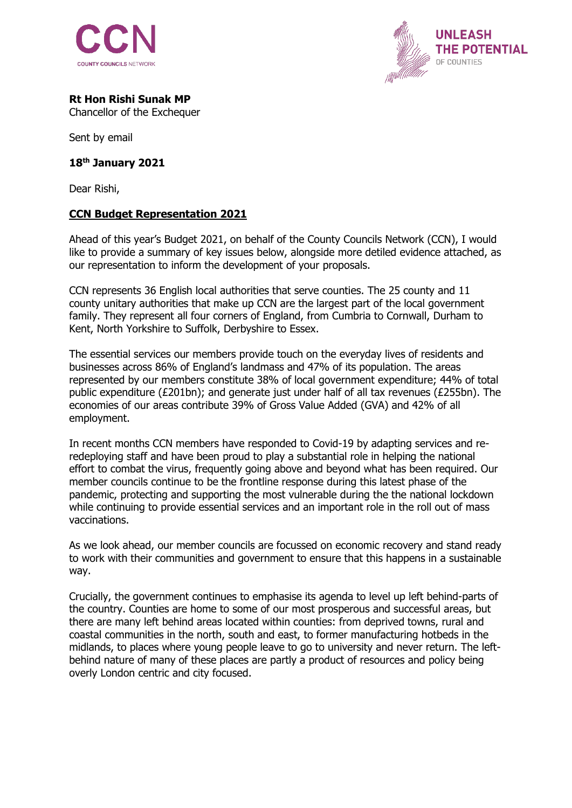



## **Rt Hon Rishi Sunak MP**

Chancellor of the Exchequer

Sent by email

## **18th January 2021**

Dear Rishi,

## **CCN Budget Representation 2021**

Ahead of this year's Budget 2021, on behalf of the County Councils Network (CCN), I would like to provide a summary of key issues below, alongside more detiled evidence attached, as our representation to inform the development of your proposals.

CCN represents 36 English local authorities that serve counties. The 25 county and 11 county unitary authorities that make up CCN are the largest part of the local government family. They represent all four corners of England, from Cumbria to Cornwall, Durham to Kent, North Yorkshire to Suffolk, Derbyshire to Essex.

The essential services our members provide touch on the everyday lives of residents and businesses across 86% of England's landmass and 47% of its population. The areas represented by our members constitute 38% of local government expenditure; 44% of total public expenditure (£201bn); and generate just under half of all tax revenues (£255bn). The economies of our areas contribute 39% of Gross Value Added (GVA) and 42% of all employment.

In recent months CCN members have responded to Covid-19 by adapting services and reredeploying staff and have been proud to play a substantial role in helping the national effort to combat the virus, frequently going above and beyond what has been required. Our member councils continue to be the frontline response during this latest phase of the pandemic, protecting and supporting the most vulnerable during the the national lockdown while continuing to provide essential services and an important role in the roll out of mass vaccinations.

As we look ahead, our member councils are focussed on economic recovery and stand ready to work with their communities and government to ensure that this happens in a sustainable way.

Crucially, the government continues to emphasise its agenda to level up left behind-parts of the country. Counties are home to some of our most prosperous and successful areas, but there are many left behind areas located within counties: from deprived towns, rural and coastal communities in the north, south and east, to former manufacturing hotbeds in the midlands, to places where young people leave to go to university and never return. The leftbehind nature of many of these places are partly a product of resources and policy being overly London centric and city focused.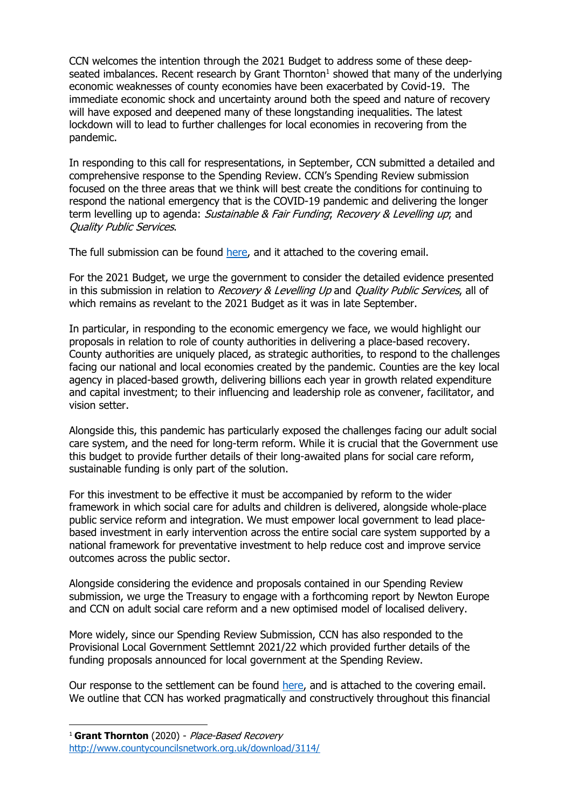CCN welcomes the intention through the 2021 Budget to address some of these deepseated imbalances. Recent research by Grant Thornton $<sup>1</sup>$  showed that many of the underlying</sup> economic weaknesses of county economies have been exacerbated by Covid-19. The immediate economic shock and uncertainty around both the speed and nature of recovery will have exposed and deepened many of these longstanding inequalities. The latest lockdown will to lead to further challenges for local economies in recovering from the pandemic.

In responding to this call for respresentations, in September, CCN submitted a detailed and comprehensive response to the Spending Review. CCN's Spending Review submission focused on the three areas that we think will best create the conditions for continuing to respond the national emergency that is the COVID-19 pandemic and delivering the longer term levelling up to agenda: Sustainable & Fair Funding; Recovery & Levelling up; and Quality Public Services.

The full submission can be found [here,](http://www.countycouncilsnetwork.org.uk/download/3248/) and it attached to the covering email.

For the 2021 Budget, we urge the government to consider the detailed evidence presented in this submission in relation to Recovery & Levelling Up and Quality Public Services, all of which remains as revelant to the 2021 Budget as it was in late September.

In particular, in responding to the economic emergency we face, we would highlight our proposals in relation to role of county authorities in delivering a place-based recovery. County authorities are uniquely placed, as strategic authorities, to respond to the challenges facing our national and local economies created by the pandemic. Counties are the key local agency in placed-based growth, delivering billions each year in growth related expenditure and capital investment; to their influencing and leadership role as convener, facilitator, and vision setter.

Alongside this, this pandemic has particularly exposed the challenges facing our adult social care system, and the need for long-term reform. While it is crucial that the Government use this budget to provide further details of their long-awaited plans for social care reform, sustainable funding is only part of the solution.

For this investment to be effective it must be accompanied by reform to the wider framework in which social care for adults and children is delivered, alongside whole-place public service reform and integration. We must empower local government to lead placebased investment in early intervention across the entire social care system supported by a national framework for preventative investment to help reduce cost and improve service outcomes across the public sector.

Alongside considering the evidence and proposals contained in our Spending Review submission, we urge the Treasury to engage with a forthcoming report by Newton Europe and CCN on adult social care reform and a new optimised model of localised delivery.

More widely, since our Spending Review Submission, CCN has also responded to the Provisional Local Government Settlemnt 2021/22 which provided further details of the funding proposals announced for local government at the Spending Review.

Our response to the settlement can be found [here,](http://www.countycouncilsnetwork.org.uk/download/3342/) and is attached to the covering email. We outline that CCN has worked pragmatically and constructively throughout this financial

<sup>1</sup> **Grant Thornton** (2020) - Place-Based Recovery <http://www.countycouncilsnetwork.org.uk/download/3114/>